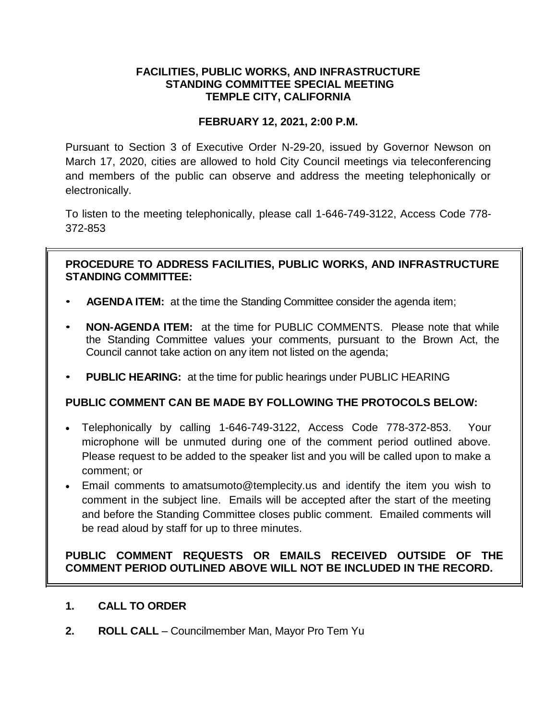## **FACILITIES, PUBLIC WORKS, AND INFRASTRUCTURE STANDING COMMITTEE SPECIAL MEETING TEMPLE CITY, CALIFORNIA**

## **FEBRUARY 12, 2021, 2:00 P.M.**

Pursuant to Section 3 of Executive Order N-29-20, issued by Governor Newson on March 17, 2020, cities are allowed to hold City Council meetings via teleconferencing and members of the public can observe and address the meeting telephonically or electronically.

To listen to the meeting telephonically, please call 1-646-749-3122, Access Code 778- 372-853

## **PROCEDURE TO ADDRESS FACILITIES, PUBLIC WORKS, AND INFRASTRUCTURE STANDING COMMITTEE:**

- **AGENDA ITEM:** at the time the Standing Committee consider the agenda item;
- **NON-AGENDA ITEM:** at the time for PUBLIC COMMENTS. Please note that while the Standing Committee values your comments, pursuant to the Brown Act, the Council cannot take action on any item not listed on the agenda;
- **PUBLIC HEARING:** at the time for public hearings under PUBLIC HEARING

# **PUBLIC COMMENT CAN BE MADE BY FOLLOWING THE PROTOCOLS BELOW:**

- Telephonically by calling 1-646-749-3122, Access Code 778-372-853. Your microphone will be unmuted during one of the comment period outlined above. Please request to be added to the speaker list and you will be called upon to make a comment; or
- Email comments to amatsumoto@templecity.us and identify the item you wish to comment in the subject line. Emails will be accepted after the start of the meeting and before the Standing Committee closes public comment. Emailed comments will be read aloud by staff for up to three minutes.

## **PUBLIC COMMENT REQUESTS OR EMAILS RECEIVED OUTSIDE OF THE COMMENT PERIOD OUTLINED ABOVE WILL NOT BE INCLUDED IN THE RECORD.**

### **1. CALL TO ORDER**

**2. ROLL CALL** – Councilmember Man, Mayor Pro Tem Yu